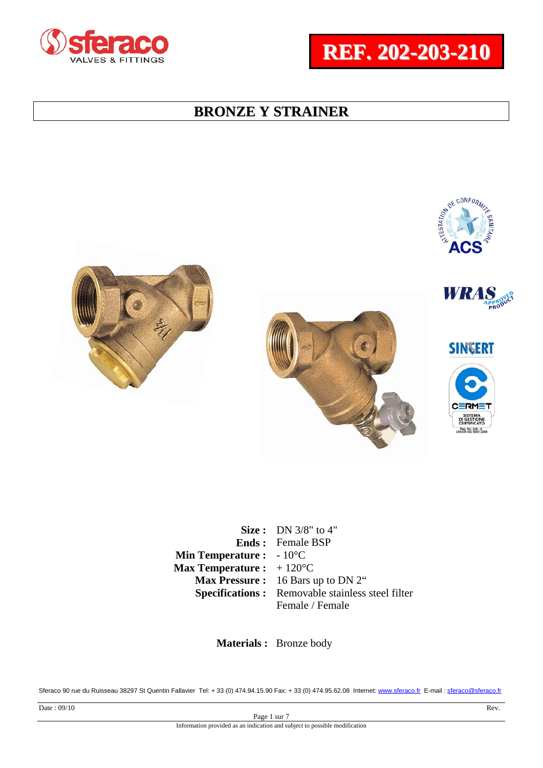







**SINGERT** 



**Size :** DN 3/8" to 4" **Ends :**  Female BSP **Min Temperature : Max Temperature :**  - 10°C  $+ 120$ °C **Max Pressure :** 16 Bars up to DN 2" **Specifications :** Removable stainless steel filter Female / Female

 **Materials :** Bronze body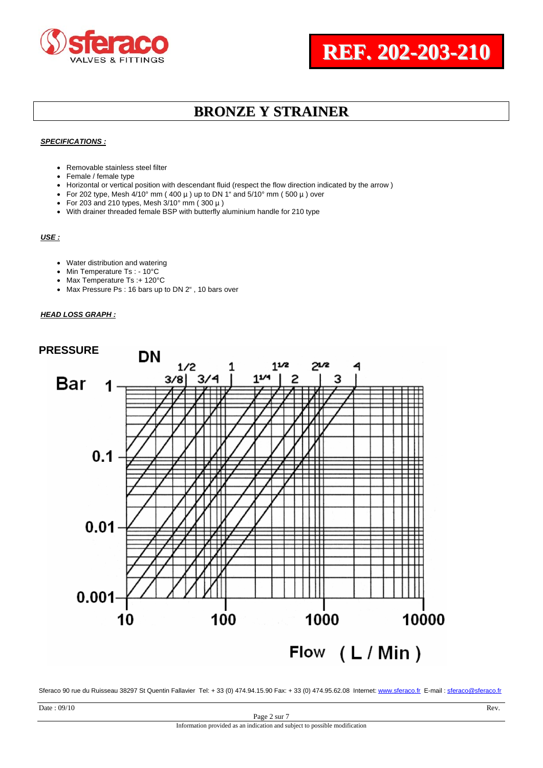#### *SPECIFICATIONS :*

- Removable stainless steel filter
- Female / female type
- Horizontal or vertical position with descendant fluid (respect the flow direction indicated by the arrow )
- For 202 type, Mesh  $4/10^{\circ}$  mm (400 µ) up to DN 1" and  $5/10^{\circ}$  mm (500 µ) over
- For 203 and 210 types, Mesh  $3/10^{\circ}$  mm (300  $\mu$ )
- With drainer threaded female BSP with butterfly aluminium handle for 210 type

### *USE :*

- Water distribution and watering
- Min Temperature Ts: 10°C
- Max Temperature Ts :+ 120°C
- Max Pressure Ps : 16 bars up to DN 2", 10 bars over

#### *HEAD LOSS GRAPH :*

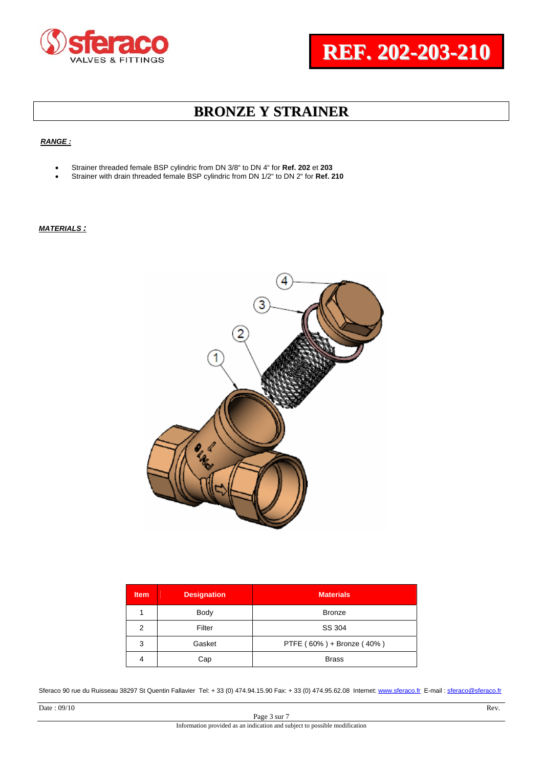### *RANGE :*

- Strainer threaded female BSP cylindric from DN 3/8" to DN 4" for **Ref. 202** et **203**
- Strainer with drain threaded female BSP cylindric from DN 1/2" to DN 2" for **Ref. 210**

*MATERIALS :*



| <b>Item</b> | <b>Designation</b> | <b>Materials</b>          |  |  |  |
|-------------|--------------------|---------------------------|--|--|--|
|             | Body               | <b>Bronze</b>             |  |  |  |
| 2           | Filter             | SS 304                    |  |  |  |
| 3           | Gasket             | PTFE (60%) + Bronze (40%) |  |  |  |
| 4           | Cap                | <b>Brass</b>              |  |  |  |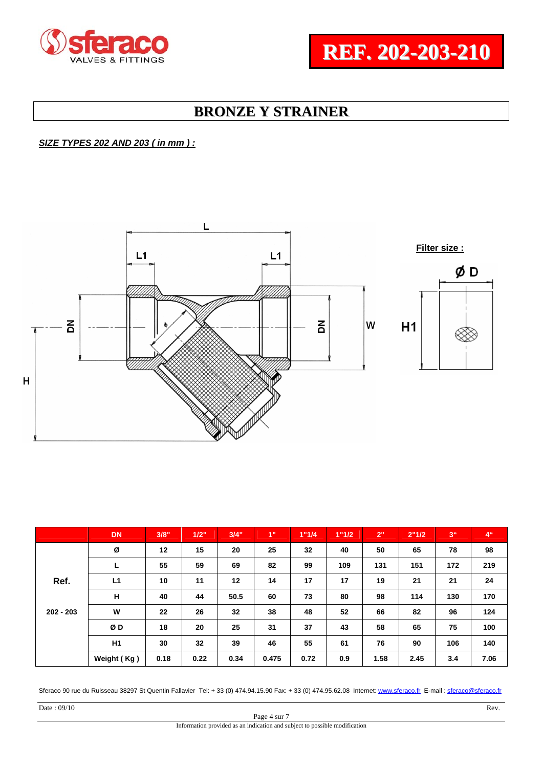### *SIZE TYPES 202 AND 203 ( in mm ) :*



|             | <b>DN</b>   | 3/8" | 1/2" | 3/4" | 1"    | 1"1/4 | 1"1/2 | 2"   | 2"1/2 | 3 <sup>th</sup> | 4 <sup>0</sup> |
|-------------|-------------|------|------|------|-------|-------|-------|------|-------|-----------------|----------------|
|             | Ø           | 12   | 15   | 20   | 25    | 32    | 40    | 50   | 65    | 78              | 98             |
|             | ┕           | 55   | 59   | 69   | 82    | 99    | 109   | 131  | 151   | 172             | 219            |
| Ref.        | L1          | 10   | 11   | 12   | 14    | 17    | 17    | 19   | 21    | 21              | 24             |
|             | н           | 40   | 44   | 50.5 | 60    | 73    | 80    | 98   | 114   | 130             | 170            |
| $202 - 203$ | W           | 22   | 26   | 32   | 38    | 48    | 52    | 66   | 82    | 96              | 124            |
|             | ØΒ          | 18   | 20   | 25   | 31    | 37    | 43    | 58   | 65    | 75              | 100            |
|             | H1          | 30   | 32   | 39   | 46    | 55    | 61    | 76   | 90    | 106             | 140            |
|             | Weight (Kg) | 0.18 | 0.22 | 0.34 | 0.475 | 0.72  | 0.9   | 1.58 | 2.45  | 3.4             | 7.06           |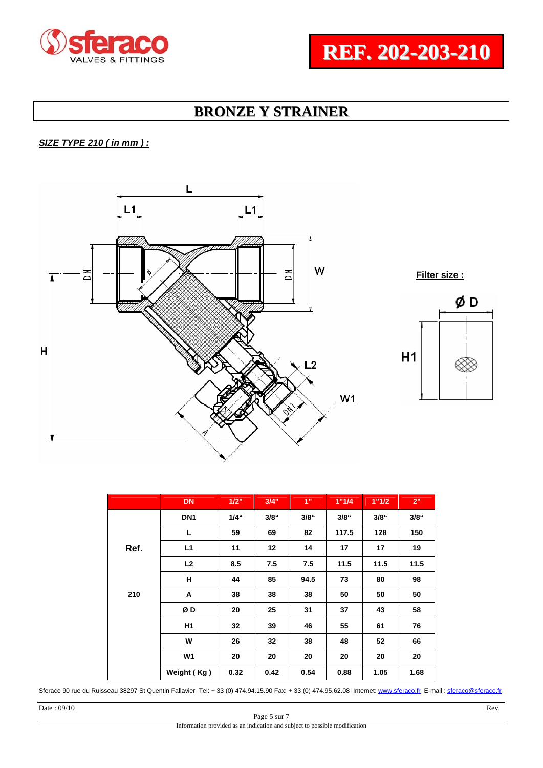### *SIZE TYPE 210 ( in mm ) :*



|      | <b>DN</b>       | 1/2"    | 3/4"    | 1"   | 1"1/4   | 1"1/2   | 2"      |
|------|-----------------|---------|---------|------|---------|---------|---------|
|      | DN <sub>1</sub> | $1/4$ " | $3/8$ " | 3/8" | $3/8$ " | $3/8$ " | $3/8$ " |
|      | г               | 59      | 69      | 82   | 117.5   | 128     | 150     |
| Ref. | L1              | 11      | 12      | 14   | 17      | 17      | 19      |
|      | L <sub>2</sub>  | 8.5     | 7.5     | 7.5  | 11.5    | 11.5    | 11.5    |
|      | н               | 44      | 85      | 94.5 | 73      | 80      | 98      |
| 210  | A               | 38      | 38      | 38   | 50      | 50      | 50      |
|      | ØD              | 20      | 25      | 31   | 37      | 43      | 58      |
|      | H1              | 32      | 39      | 46   | 55      | 61      | 76      |
|      | W               | 26      | 32      | 38   | 48      | 52      | 66      |
|      | W <sub>1</sub>  | 20      | 20      | 20   | 20      | 20      | 20      |
|      | Weight (Kg)     | 0.32    | 0.42    | 0.54 | 0.88    | 1.05    | 1.68    |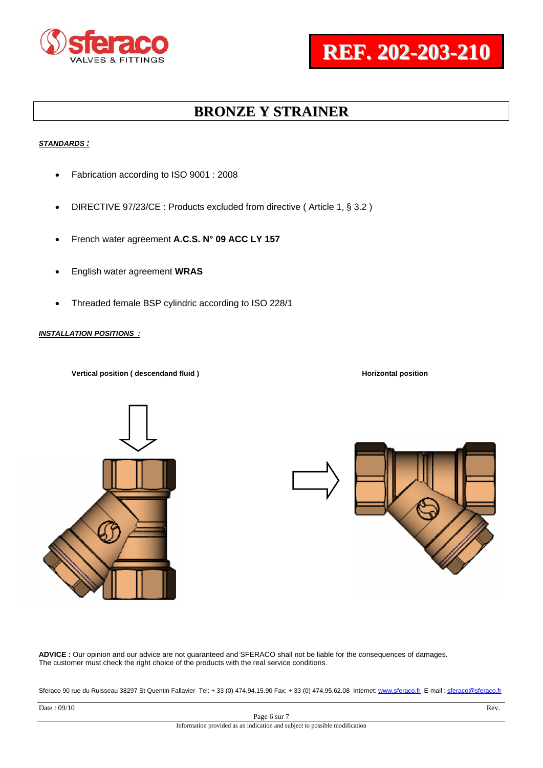#### *STANDARDS :*

- Fabrication according to ISO 9001 : 2008
- DIRECTIVE 97/23/CE : Products excluded from directive (Article 1, § 3.2)
- French water agreement **A.C.S. N° 09 ACC LY 157**
- English water agreement **WRAS**
- Threaded female BSP cylindric according to ISO 228/1

*INSTALLATION POSITIONS :*

**Vertical position ( descendand fluid )** Application **Horizontal position Horizontal position**